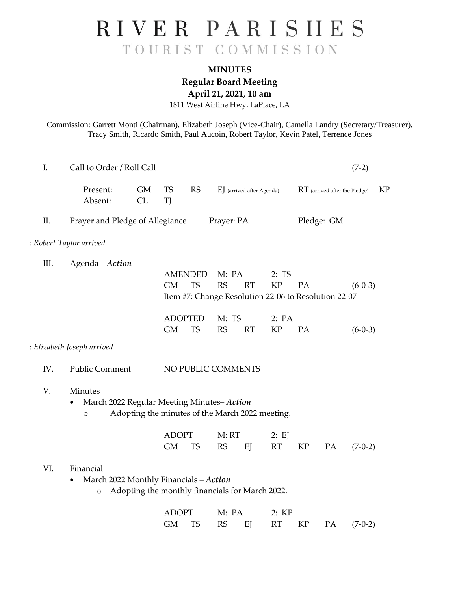## RIVER PARISHES TOURIST COMMISSION

## **MINUTES Regular Board Meeting**

**April 21, 2021, 10 am**

1811 West Airline Hwy, LaPlace, LA

Commission: Garrett Monti (Chairman), Elizabeth Joseph (Vice-Chair), Camella Landry (Secretary/Treasurer), Tracy Smith, Ricardo Smith, Paul Aucoin, Robert Taylor, Kevin Patel, Terrence Jones

| $I_{\cdot}$ | Call to Order / Roll Call                                       |                                                 |                                          |                             |                                                                                                       |                           |                    |    |                               | $(7-2)$   |           |
|-------------|-----------------------------------------------------------------|-------------------------------------------------|------------------------------------------|-----------------------------|-------------------------------------------------------------------------------------------------------|---------------------------|--------------------|----|-------------------------------|-----------|-----------|
|             | Present:<br>Absent:                                             | <b>GM</b><br>CL                                 | <b>TS</b><br>TJ                          | <b>RS</b>                   |                                                                                                       | EJ (arrived after Agenda) |                    |    | RT (arrived after the Pledge) |           | <b>KP</b> |
| II.         | Prayer and Pledge of Allegiance                                 |                                                 | Prayer: PA                               |                             |                                                                                                       |                           | Pledge: GM         |    |                               |           |           |
|             | : Robert Taylor arrived                                         |                                                 |                                          |                             |                                                                                                       |                           |                    |    |                               |           |           |
| III.        | Agenda - Action                                                 |                                                 | <b>AMENDED</b><br><b>GM</b><br><b>TS</b> |                             | M: PA<br>2:TS<br><b>RS</b><br>RT<br><b>KP</b><br>Item #7: Change Resolution 22-06 to Resolution 22-07 |                           | PA<br>$(6-0-3)$    |    |                               |           |           |
|             |                                                                 |                                                 | <b>GM</b>                                | <b>ADOPTED</b><br><b>TS</b> | M: TS<br><b>RS</b>                                                                                    | RT                        | 2: PA<br><b>KP</b> | PA |                               | $(6-0-3)$ |           |
|             | : Elizabeth Joseph arrived                                      |                                                 |                                          |                             |                                                                                                       |                           |                    |    |                               |           |           |
| IV.         | Public Comment                                                  | NO PUBLIC COMMENTS                              |                                          |                             |                                                                                                       |                           |                    |    |                               |           |           |
| V.          | Minutes<br>March 2022 Regular Meeting Minutes-Action<br>$\circ$ | Adopting the minutes of the March 2022 meeting. |                                          |                             |                                                                                                       |                           |                    |    |                               |           |           |
|             |                                                                 |                                                 | <b>ADOPT</b><br><b>GM</b>                | <b>TS</b>                   | M: RT<br><b>RS</b>                                                                                    | EJ                        | 2: EJ<br>RT        | KP | PA                            | $(7-0-2)$ |           |
| VI.         | Financial<br>March 2022 Monthly Financials - Action<br>$\circ$  | Adopting the monthly financials for March 2022. |                                          |                             |                                                                                                       |                           |                    |    |                               |           |           |
|             |                                                                 |                                                 | <b>ADOPT</b><br><b>GM</b>                | <b>TS</b>                   | M: PA<br><b>RS</b>                                                                                    | EJ                        | 2:KP<br><b>RT</b>  | KP | PA                            | $(7-0-2)$ |           |